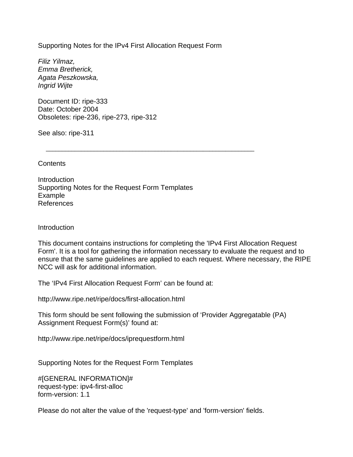Supporting Notes for the IPv4 First Allocation Request Form

 $\overline{\phantom{a}}$  ,  $\overline{\phantom{a}}$  ,  $\overline{\phantom{a}}$  ,  $\overline{\phantom{a}}$  ,  $\overline{\phantom{a}}$  ,  $\overline{\phantom{a}}$  ,  $\overline{\phantom{a}}$  ,  $\overline{\phantom{a}}$  ,  $\overline{\phantom{a}}$  ,  $\overline{\phantom{a}}$  ,  $\overline{\phantom{a}}$  ,  $\overline{\phantom{a}}$  ,  $\overline{\phantom{a}}$  ,  $\overline{\phantom{a}}$  ,  $\overline{\phantom{a}}$  ,  $\overline{\phantom{a}}$ 

*Filiz Yilmaz, Emma Bretherick, Agata Peszkowska, Ingrid Wijte*

Document ID: ripe-333 Date: October 2004 Obsoletes: ripe-236, ripe-273, ripe-312

See also: ripe-311

**Contents** 

Introduction Supporting Notes for the Request Form Templates Example References

**Introduction** 

This document contains instructions for completing the 'IPv4 First Allocation Request Form'. It is a tool for gathering the information necessary to evaluate the request and to ensure that the same guidelines are applied to each request. Where necessary, the RIPE NCC will ask for additional information.

The 'IPv4 First Allocation Request Form' can be found at:

http://www.ripe.net/ripe/docs/first-allocation.html

This form should be sent following the submission of 'Provider Aggregatable (PA) Assignment Request Form(s)' found at:

http://www.ripe.net/ripe/docs/iprequestform.html

Supporting Notes for the Request Form Templates

#[GENERAL INFORMATION]# request-type: ipv4-first-alloc form-version: 1.1

Please do not alter the value of the 'request-type' and 'form-version' fields.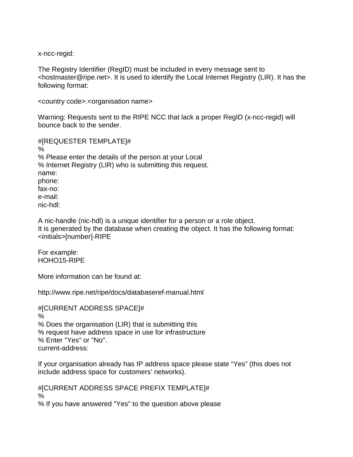x-ncc-regid:

The Registry Identifier (RegID) must be included in every message sent to <hostmaster@ripe.net>. It is used to identify the Local Internet Registry (LIR). It has the following format:

<country code>.<organisation name>

Warning: Requests sent to the RIPE NCC that lack a proper RegID (x-ncc-regid) will bounce back to the sender.

#[REQUESTER TEMPLATE]# % % Please enter the details of the person at your Local % Internet Registry (LIR) who is submitting this request. name: phone: fax-no: e-mail: nic-hdl:

A nic-handle (nic-hdl) is a unique identifier for a person or a role object. It is generated by the database when creating the object. It has the following format: <initials>[number]-RIPE

For example: HOHO15-RIPE

More information can be found at:

http://www.ripe.net/ripe/docs/databaseref-manual.html

#[CURRENT ADDRESS SPACE]# % % Does the organisation (LIR) that is submitting this % request have address space in use for infrastructure % Enter "Yes" or "No". current-address:

If your organisation already has IP address space please state "Yes" (this does not include address space for customers' networks).

#[CURRENT ADDRESS SPACE PREFIX TEMPLATE]# % % If you have answered "Yes" to the question above please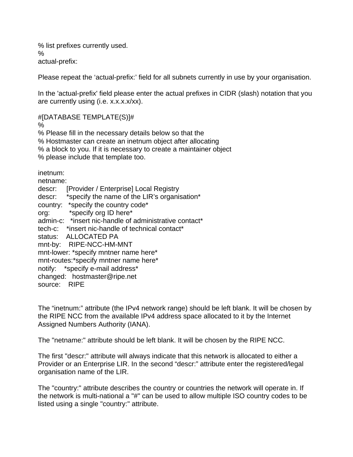% list prefixes currently used. % actual-prefix:

Please repeat the 'actual-prefix:' field for all subnets currently in use by your organisation.

In the 'actual-prefix' field please enter the actual prefixes in CIDR (slash) notation that you are currently using (i.e. x.x.x.x/xx).

#[DATABASE TEMPLATE(S)]#

%

% Please fill in the necessary details below so that the % Hostmaster can create an inetnum object after allocating % a block to you. If it is necessary to create a maintainer object % please include that template too.

inetnum:

netname: descr: [Provider / Enterprise] Local Registry descr: \*specify the name of the LIR's organisation\* country: \*specify the country code\* org: \*specify org ID here\* admin-c: \*insert nic-handle of administrative contact\* tech-c: \*insert nic-handle of technical contact\* status: ALLOCATED PA mnt-by: RIPE-NCC-HM-MNT mnt-lower: \*specify mntner name here\* mnt-routes:\*specify mntner name here\* notify: \*specify e-mail address\* changed: hostmaster@ripe.net source: RIPE

The "inetnum:" attribute (the IPv4 network range) should be left blank. It will be chosen by the RIPE NCC from the available IPv4 address space allocated to it by the Internet Assigned Numbers Authority (IANA).

The "netname:" attribute should be left blank. It will be chosen by the RIPE NCC.

The first "descr:" attribute will always indicate that this network is allocated to either a Provider or an Enterprise LIR. In the second "descr:" attribute enter the registered/legal organisation name of the LIR.

The "country:" attribute describes the country or countries the network will operate in. If the network is multi-national a "#" can be used to allow multiple ISO country codes to be listed using a single "country:" attribute.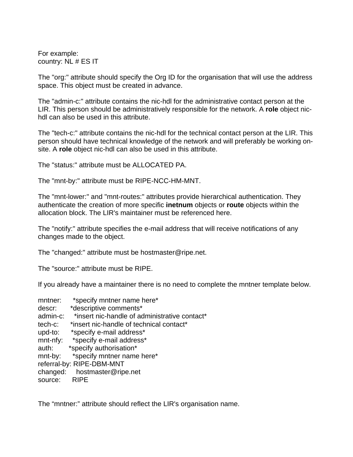For example: country: NL # ES IT

The "org:" attribute should specify the Org ID for the organisation that will use the address space. This object must be created in advance.

The "admin-c:" attribute contains the nic-hdl for the administrative contact person at the LIR. This person should be administratively responsible for the network. A **role** object nichdl can also be used in this attribute.

The "tech-c:" attribute contains the nic-hdl for the technical contact person at the LIR. This person should have technical knowledge of the network and will preferably be working onsite. A **role** object nic-hdl can also be used in this attribute.

The "status:" attribute must be ALLOCATED PA.

The "mnt-by:" attribute must be RIPE-NCC-HM-MNT.

The "mnt-lower:" and "mnt-routes:" attributes provide hierarchical authentication. They authenticate the creation of more specific **inetnum** objects or **route** objects within the allocation block. The LIR's maintainer must be referenced here.

The "notify:" attribute specifies the e-mail address that will receive notifications of any changes made to the object.

The "changed:" attribute must be hostmaster@ripe.net.

The "source:" attribute must be RIPE.

If you already have a maintainer there is no need to complete the mntner template below.

| *specify mntner name here*                    |  |  |
|-----------------------------------------------|--|--|
| *descriptive comments*                        |  |  |
| *insert nic-handle of administrative contact* |  |  |
| *insert nic-handle of technical contact*      |  |  |
| *specify e-mail address*                      |  |  |
| *specify e-mail address*                      |  |  |
| *specify authorisation*                       |  |  |
| *specify mntner name here*                    |  |  |
| referral-by: RIPE-DBM-MNT                     |  |  |
| changed: hostmaster@ripe.net                  |  |  |
| <b>RIPE</b>                                   |  |  |
|                                               |  |  |

The "mntner:" attribute should reflect the LIR's organisation name.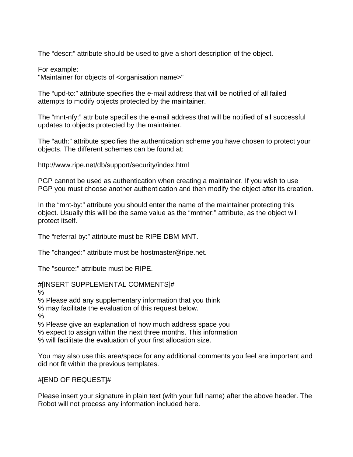The "descr:" attribute should be used to give a short description of the object.

For example:

"Maintainer for objects of <organisation name>"

The "upd-to:" attribute specifies the e-mail address that will be notified of all failed attempts to modify objects protected by the maintainer.

The "mnt-nfy:" attribute specifies the e-mail address that will be notified of all successful updates to objects protected by the maintainer.

The "auth:" attribute specifies the authentication scheme you have chosen to protect your objects. The different schemes can be found at:

http://www.ripe.net/db/support/security/index.html

PGP cannot be used as authentication when creating a maintainer. If you wish to use PGP you must choose another authentication and then modify the object after its creation.

In the "mnt-by:" attribute you should enter the name of the maintainer protecting this object. Usually this will be the same value as the "mntner:" attribute, as the object will protect itself.

The "referral-by:" attribute must be RIPE-DBM-MNT.

The "changed:" attribute must be hostmaster@ripe.net.

The "source:" attribute must be RIPE.

## #[INSERT SUPPLEMENTAL COMMENTS]#

%

% Please add any supplementary information that you think

% may facilitate the evaluation of this request below.

%

% Please give an explanation of how much address space you

% expect to assign within the next three months. This information

% will facilitate the evaluation of your first allocation size.

You may also use this area/space for any additional comments you feel are important and did not fit within the previous templates.

## #[END OF REQUEST]#

Please insert your signature in plain text (with your full name) after the above header. The Robot will not process any information included here.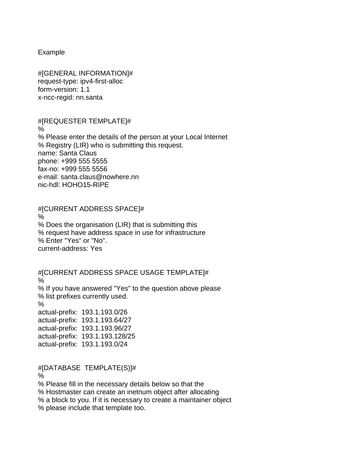Example

#[GENERAL INFORMATION]# request-type: ipv4-first-alloc form-version: 1.1 x-ncc-regid: nn.santa

## #[REQUESTER TEMPLATE]#

% % Please enter the details of the person at your Local Internet % Registry (LIR) who is submitting this request. name: Santa Claus phone: +999 555 5555 fax-no: +999 555 5556 e-mail: santa.claus@nowhere.nn nic-hdl: HOHO15-RIPE

## #[CURRENT ADDRESS SPACE]#

 $\frac{0}{0}$ % Does the organisation (LIR) that is submitting this % request have address space in use for infrastructure % Enter "Yes" or "No". current-address: Yes

#[CURRENT ADDRESS SPACE USAGE TEMPLATE]# % % If you have answered "Yes" to the question above please % list prefixes currently used. % actual-prefix: 193.1.193.0/26 actual-prefix: 193.1.193.64/27 actual-prefix: 193.1.193.96/27 actual-prefix: 193.1.193.128/25 actual-prefix: 193.1.193.0/24

#[DATABASE TEMPLATE(S)]#

%

% Please fill in the necessary details below so that the

% Hostmaster can create an inetnum object after allocating

% a block to you. If it is necessary to create a maintainer object

% please include that template too.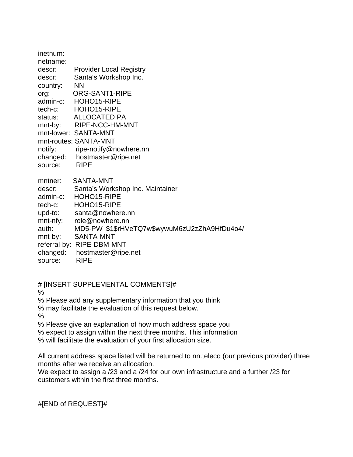| inetnum: |                                              |
|----------|----------------------------------------------|
| netname: |                                              |
| descr:   | <b>Provider Local Registry</b>               |
| descr:   | Santa's Workshop Inc.                        |
| country: | <b>NN</b>                                    |
| org:     | ORG-SANT1-RIPE                               |
| admin-c: | HOHO15-RIPE                                  |
| tech-c:  | HOHO15-RIPE                                  |
| status:  | <b>ALLOCATED PA</b>                          |
| mnt-by:  | RIPE-NCC-HM-MNT                              |
|          | mnt-lower: SANTA-MNT                         |
|          | mnt-routes: SANTA-MNT                        |
| notify:  | ripe-notify@nowhere.nn                       |
| changed: | hostmaster@ripe.net                          |
| source:  | <b>RIPE</b>                                  |
| mntner:  | SANTA-MNT                                    |
| descr:   | Santa's Workshop Inc. Maintainer             |
| admin-c: | HOHO15-RIPE                                  |
| tech-c:  | HOHO15-RIPE                                  |
| upd-to:  | santa@nowhere.nn                             |
| mnt-nfy: | role@nowhere.nn                              |
| auth:    | MD5-PW \$1\$rHVeTQ7w\$wywuM6zU2zZhA9HfDu4o4/ |
| mnt-by:  | <b>SANTA-MNT</b>                             |
|          | referral-by: RIPE-DBM-MNT                    |
| changed: | hostmaster@ripe.net                          |
| source:  | <b>RIPE</b>                                  |

# [INSERT SUPPLEMENTAL COMMENTS]#

%

% Please add any supplementary information that you think

% may facilitate the evaluation of this request below.

%

% Please give an explanation of how much address space you

% expect to assign within the next three months. This information

% will facilitate the evaluation of your first allocation size.

All current address space listed will be returned to nn.teleco (our previous provider) three months after we receive an allocation.

We expect to assign a /23 and a /24 for our own infrastructure and a further /23 for customers within the first three months.

#[END of REQUEST]#